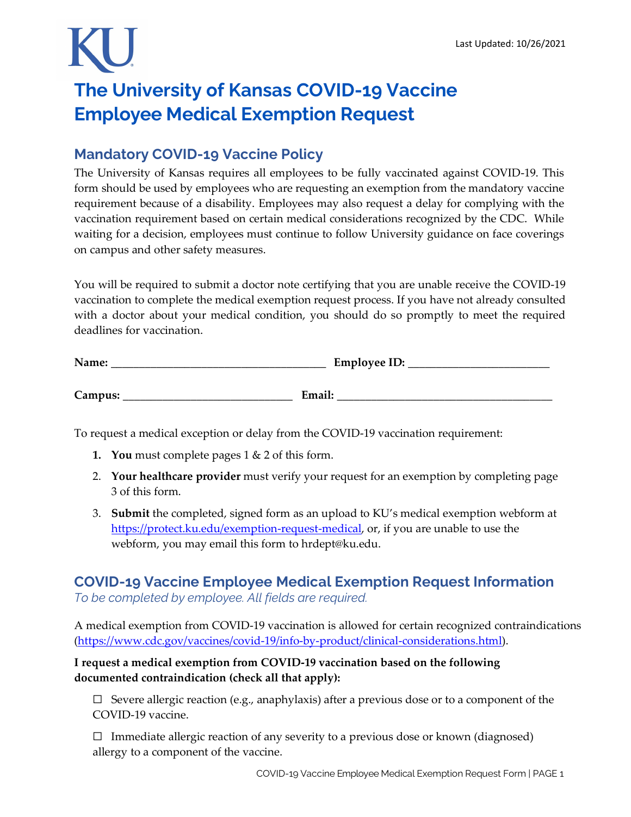## **The University of Kansas COVID-19 Vaccine Employee Medical Exemption Request**

## **Mandatory COVID-19 Vaccine Policy**

The University of Kansas requires all employees to be fully vaccinated against COVID-19. This form should be used by employees who are requesting an exemption from the mandatory vaccine requirement because of a disability. Employees may also request a delay for complying with the vaccination requirement based on certain medical considerations recognized by the CDC. While waiting for a decision, employees must continue to follow University guidance on face coverings on campus and other safety measures.

You will be required to submit a doctor note certifying that you are unable receive the COVID-19 vaccination to complete the medical exemption request process. If you have not already consulted with a doctor about your medical condition, you should do so promptly to meet the required deadlines for vaccination.

| Name:   | <b>Employee ID:</b> |
|---------|---------------------|
|         |                     |
| Campus: | Email:              |

To request a medical exception or delay from the COVID-19 vaccination requirement:

- **1. You** must complete pages 1 & 2 of this form.
- 2. **Your healthcare provider** must verify your request for an exemption by completing page 3 of this form.
- 3. **Submit** the completed, signed form as an upload to KU's medical exemption webform at [https://protect.ku.edu/exemption-request-medical,](https://protect.ku.edu/exemption-request-medical) or, if you are unable to use the webform, you may email this form to hrdept@ku.edu.

## **COVID-19 Vaccine Employee Medical Exemption Request Information**

*To be completed by employee. All fields are required.*

A medical exemption from COVID-19 vaccination is allowed for certain recognized contraindications [\(https://www.cdc.gov/vaccines/covid-19/info-by-product/clinical-considerations.html\)](https://www.cdc.gov/vaccines/covid-19/info-by-product/clinical-considerations.html).

### **I request a medical exemption from COVID-19 vaccination based on the following documented contraindication (check all that apply):**

 $\Box$  Severe allergic reaction (e.g., anaphylaxis) after a previous dose or to a component of the COVID-19 vaccine.

 $\Box$  Immediate allergic reaction of any severity to a previous dose or known (diagnosed) allergy to a component of the vaccine.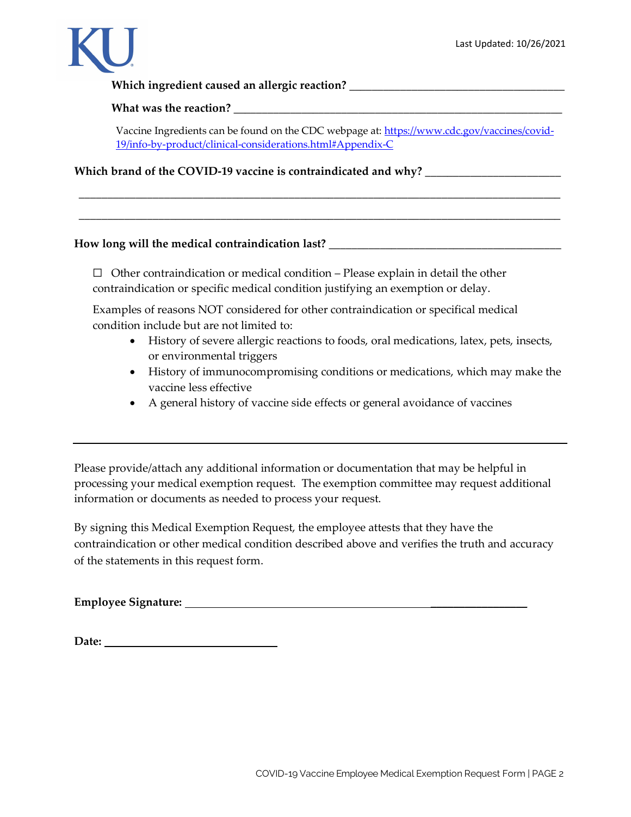

Which ingredient caused an allergic reaction? \_\_\_\_\_\_\_\_\_\_\_\_\_\_\_\_\_\_\_\_\_\_\_\_\_\_\_\_\_\_\_\_\_\_

What was the reaction?

Vaccine Ingredients can be found on the CDC webpage at: [https://www.cdc.gov/vaccines/covid-](https://www.cdc.gov/vaccines/covid-19/info-by-product/clinical-considerations.html#Appendix-C)[19/info-by-product/clinical-considerations.html#Appendix-C](https://www.cdc.gov/vaccines/covid-19/info-by-product/clinical-considerations.html#Appendix-C)

\_\_\_\_\_\_\_\_\_\_\_\_\_\_\_\_\_\_\_\_\_\_\_\_\_\_\_\_\_\_\_\_\_\_\_\_\_\_\_\_\_\_\_\_\_\_\_\_\_\_\_\_\_\_\_\_\_\_\_\_\_\_\_\_\_\_\_\_\_\_\_\_\_\_\_\_\_\_\_\_\_\_\_\_\_

\_\_\_\_\_\_\_\_\_\_\_\_\_\_\_\_\_\_\_\_\_\_\_\_\_\_\_\_\_\_\_\_\_\_\_\_\_\_\_\_\_\_\_\_\_\_\_\_\_\_\_\_\_\_\_\_\_\_\_\_\_\_\_\_\_\_\_\_\_\_\_\_\_\_\_\_\_\_\_\_\_\_\_\_\_

**Which brand of the COVID-19 vaccine is contraindicated and why?** \_\_\_\_\_\_\_\_\_\_\_\_\_\_\_\_\_\_\_\_\_\_\_\_

#### **How long will the medical contraindication last?** \_\_\_\_\_\_\_\_\_\_\_\_\_\_\_\_\_\_\_\_\_\_\_\_\_\_\_\_\_\_\_\_\_\_\_\_\_\_\_\_\_

 $\Box$  Other contraindication or medical condition – Please explain in detail the other contraindication or specific medical condition justifying an exemption or delay.

Examples of reasons NOT considered for other contraindication or specifical medical condition include but are not limited to:

- History of severe allergic reactions to foods, oral medications, latex, pets, insects, or environmental triggers
- History of immunocompromising conditions or medications, which may make the vaccine less effective
- A general history of vaccine side effects or general avoidance of vaccines

Please provide/attach any additional information or documentation that may be helpful in processing your medical exemption request. The exemption committee may request additional information or documents as needed to process your request.

By signing this Medical Exemption Request, the employee attests that they have the contraindication or other medical condition described above and verifies the truth and accuracy of the statements in this request form.

**Employee Signature:** \_\_\_\_\_\_\_\_\_\_\_\_\_\_\_\_\_

Date: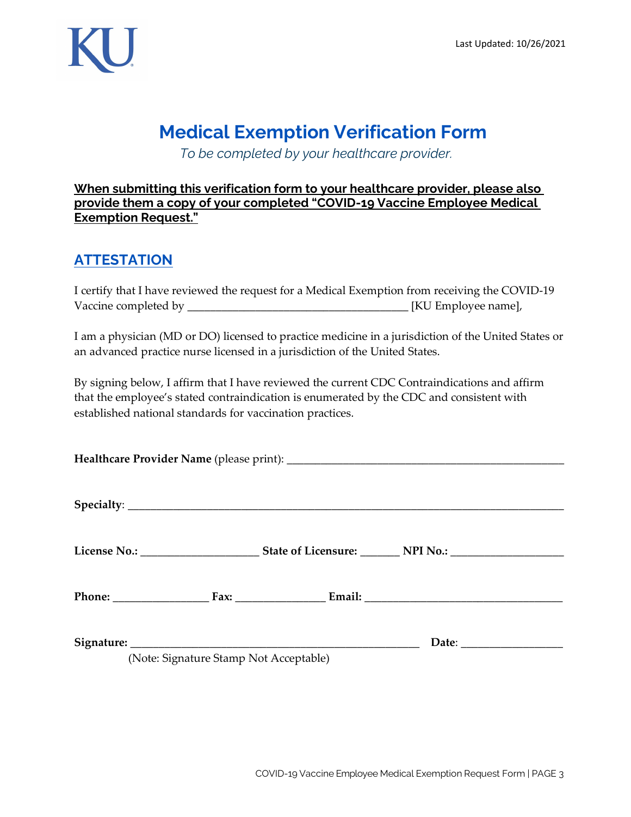

## **Medical Exemption Verification Form**

*To be completed by your healthcare provider.*

#### **When submitting this verification form to your healthcare provider, please also provide them a copy of your completed "COVID-19 Vaccine Employee Medical Exemption Request."**

## **ATTESTATION**

I certify that I have reviewed the request for a Medical Exemption from receiving the COVID-19 Vaccine completed by \_\_\_\_\_\_\_\_\_\_\_\_\_\_\_\_\_\_\_\_\_\_\_\_\_\_\_\_\_\_\_\_\_\_\_\_\_\_\_ [KU Employee name],

I am a physician (MD or DO) licensed to practice medicine in a jurisdiction of the United States or an advanced practice nurse licensed in a jurisdiction of the United States.

By signing below, I affirm that I have reviewed the current CDC Contraindications and affirm that the employee's stated contraindication is enumerated by the CDC and consistent with established national standards for vaccination practices.

|  |                                        |  | Date: |  |
|--|----------------------------------------|--|-------|--|
|  | (Note: Signature Stamp Not Acceptable) |  |       |  |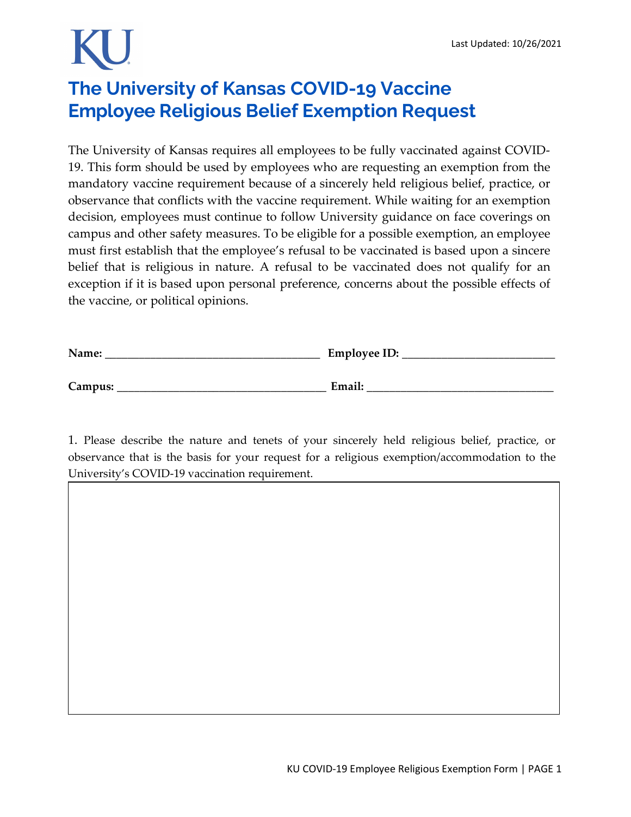# **The University of Kansas COVID-19 Vaccine Employee Religious Belief Exemption Request**

The University of Kansas requires all employees to be fully vaccinated against COVID-19. This form should be used by employees who are requesting an exemption from the mandatory vaccine requirement because of a sincerely held religious belief, practice, or observance that conflicts with the vaccine requirement. While waiting for an exemption decision, employees must continue to follow University guidance on face coverings on campus and other safety measures. To be eligible for a possible exemption, an employee must first establish that the employee's refusal to be vaccinated is based upon a sincere belief that is religious in nature. A refusal to be vaccinated does not qualify for an exception if it is based upon personal preference, concerns about the possible effects of the vaccine, or political opinions.

| Name:   | Employee ID: |
|---------|--------------|
|         |              |
| Campus: | Email:       |

1. Please describe the nature and tenets of your sincerely held religious belief, practice, or observance that is the basis for your request for a religious exemption/accommodation to the University's COVID-19 vaccination requirement.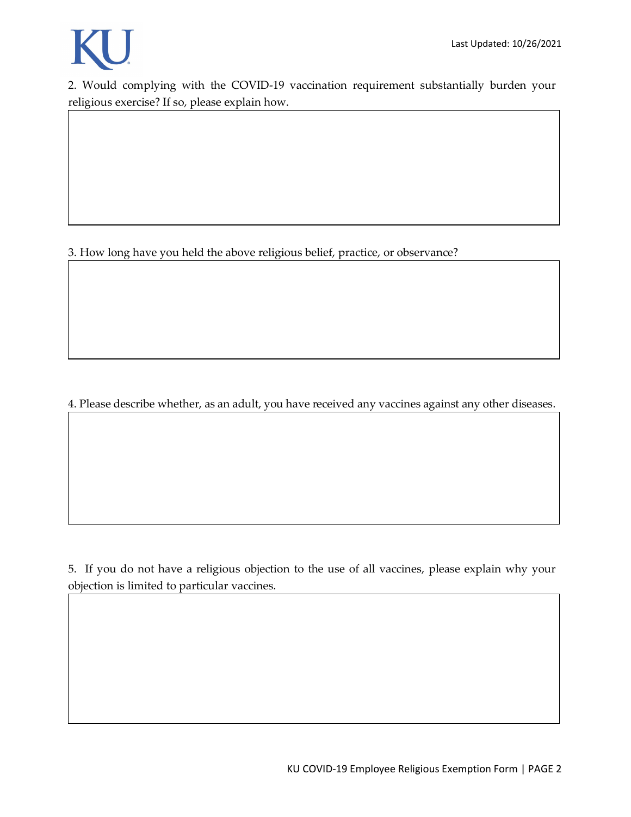

2. Would complying with the COVID-19 vaccination requirement substantially burden your religious exercise? If so, please explain how.

3. How long have you held the above religious belief, practice, or observance?

4. Please describe whether, as an adult, you have received any vaccines against any other diseases.

5. If you do not have a religious objection to the use of all vaccines, please explain why your objection is limited to particular vaccines.